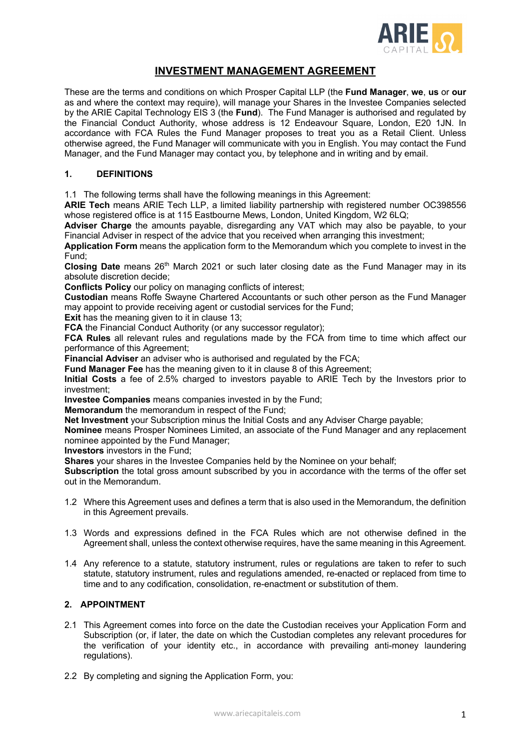

# **INVESTMENT MANAGEMENT AGREEMENT**

These are the terms and conditions on which Prosper Capital LLP (the **Fund Manager**, **we**, **us** or **our** as and where the context may require), will manage your Shares in the Investee Companies selected by the ARIE Capital Technology EIS 3 (the **Fund**). The Fund Manager is authorised and regulated by the Financial Conduct Authority, whose address is 12 Endeavour Square, London, E20 1JN. In accordance with FCA Rules the Fund Manager proposes to treat you as a Retail Client. Unless otherwise agreed, the Fund Manager will communicate with you in English. You may contact the Fund Manager, and the Fund Manager may contact you, by telephone and in writing and by email.

#### **1. DEFINITIONS**

1.1 The following terms shall have the following meanings in this Agreement:

**ARIE Tech** means ARIE Tech LLP, a limited liability partnership with registered number OC398556 whose registered office is at 115 Eastbourne Mews, London, United Kingdom, W2 6LQ;

**Adviser Charge** the amounts payable, disregarding any VAT which may also be payable, to your Financial Adviser in respect of the advice that you received when arranging this investment;

**Application Form** means the application form to the Memorandum which you complete to invest in the Fund;

Closing Date means 26<sup>th</sup> March 2021 or such later closing date as the Fund Manager may in its absolute discretion decide;

**Conflicts Policy** our policy on managing conflicts of interest;

**Custodian** means Roffe Swayne Chartered Accountants or such other person as the Fund Manager may appoint to provide receiving agent or custodial services for the Fund;

**Exit** has the meaning given to it in clause 13;

**FCA** the Financial Conduct Authority (or any successor regulator);

**FCA Rules** all relevant rules and regulations made by the FCA from time to time which affect our performance of this Agreement;

**Financial Adviser** an adviser who is authorised and regulated by the FCA;

**Fund Manager Fee** has the meaning given to it in clause 8 of this Agreement;

**Initial Costs** a fee of 2.5% charged to investors payable to ARIE Tech by the Investors prior to investment;

**Investee Companies** means companies invested in by the Fund;

**Memorandum** the memorandum in respect of the Fund;

**Net Investment** your Subscription minus the Initial Costs and any Adviser Charge payable;

**Nominee** means Prosper Nominees Limited, an associate of the Fund Manager and any replacement nominee appointed by the Fund Manager;

**Investors** investors in the Fund;

**Shares** your shares in the Investee Companies held by the Nominee on your behalf;

**Subscription** the total gross amount subscribed by you in accordance with the terms of the offer set out in the Memorandum.

- 1.2 Where this Agreement uses and defines a term that is also used in the Memorandum, the definition in this Agreement prevails.
- 1.3 Words and expressions defined in the FCA Rules which are not otherwise defined in the Agreement shall, unless the context otherwise requires, have the same meaning in this Agreement.
- 1.4 Any reference to a statute, statutory instrument, rules or regulations are taken to refer to such statute, statutory instrument, rules and regulations amended, re-enacted or replaced from time to time and to any codification, consolidation, re-enactment or substitution of them.

## **2. APPOINTMENT**

- 2.1 This Agreement comes into force on the date the Custodian receives your Application Form and Subscription (or, if later, the date on which the Custodian completes any relevant procedures for the verification of your identity etc., in accordance with prevailing anti-money laundering regulations).
- 2.2 By completing and signing the Application Form, you: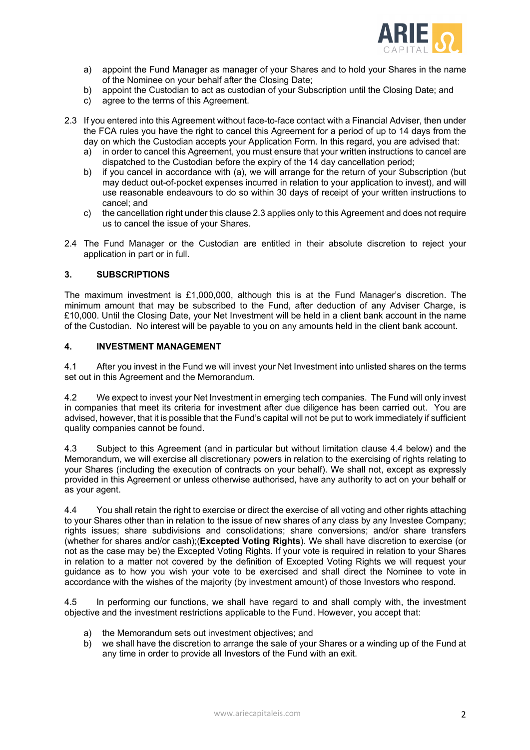

- a) appoint the Fund Manager as manager of your Shares and to hold your Shares in the name of the Nominee on your behalf after the Closing Date;
- b) appoint the Custodian to act as custodian of your Subscription until the Closing Date; and
- c) agree to the terms of this Agreement.
- 2.3 If you entered into this Agreement without face-to-face contact with a Financial Adviser, then under the FCA rules you have the right to cancel this Agreement for a period of up to 14 days from the day on which the Custodian accepts your Application Form. In this regard, you are advised that:
	- a) in order to cancel this Agreement, you must ensure that your written instructions to cancel are dispatched to the Custodian before the expiry of the 14 day cancellation period;
	- b) if you cancel in accordance with (a), we will arrange for the return of your Subscription (but may deduct out-of-pocket expenses incurred in relation to your application to invest), and will use reasonable endeavours to do so within 30 days of receipt of your written instructions to cancel; and
	- c) the cancellation right under this clause 2.3 applies only to this Agreement and does not require us to cancel the issue of your Shares.
- 2.4 The Fund Manager or the Custodian are entitled in their absolute discretion to reject your application in part or in full.

#### **3. SUBSCRIPTIONS**

The maximum investment is £1,000,000, although this is at the Fund Manager's discretion. The minimum amount that may be subscribed to the Fund, after deduction of any Adviser Charge, is £10,000. Until the Closing Date, your Net Investment will be held in a client bank account in the name of the Custodian. No interest will be payable to you on any amounts held in the client bank account.

## **4. INVESTMENT MANAGEMENT**

4.1 After you invest in the Fund we will invest your Net Investment into unlisted shares on the terms set out in this Agreement and the Memorandum.

4.2 We expect to invest your Net Investment in emerging tech companies. The Fund will only invest in companies that meet its criteria for investment after due diligence has been carried out. You are advised, however, that it is possible that the Fund's capital will not be put to work immediately if sufficient quality companies cannot be found.

4.3 Subject to this Agreement (and in particular but without limitation clause 4.4 below) and the Memorandum, we will exercise all discretionary powers in relation to the exercising of rights relating to your Shares (including the execution of contracts on your behalf). We shall not, except as expressly provided in this Agreement or unless otherwise authorised, have any authority to act on your behalf or as your agent.

4.4 You shall retain the right to exercise or direct the exercise of all voting and other rights attaching to your Shares other than in relation to the issue of new shares of any class by any Investee Company; rights issues; share subdivisions and consolidations; share conversions; and/or share transfers (whether for shares and/or cash);(**Excepted Voting Rights**). We shall have discretion to exercise (or not as the case may be) the Excepted Voting Rights. If your vote is required in relation to your Shares in relation to a matter not covered by the definition of Excepted Voting Rights we will request your guidance as to how you wish your vote to be exercised and shall direct the Nominee to vote in accordance with the wishes of the majority (by investment amount) of those Investors who respond.

4.5 In performing our functions, we shall have regard to and shall comply with, the investment objective and the investment restrictions applicable to the Fund. However, you accept that:

- a) the Memorandum sets out investment objectives; and
- b) we shall have the discretion to arrange the sale of your Shares or a winding up of the Fund at any time in order to provide all Investors of the Fund with an exit.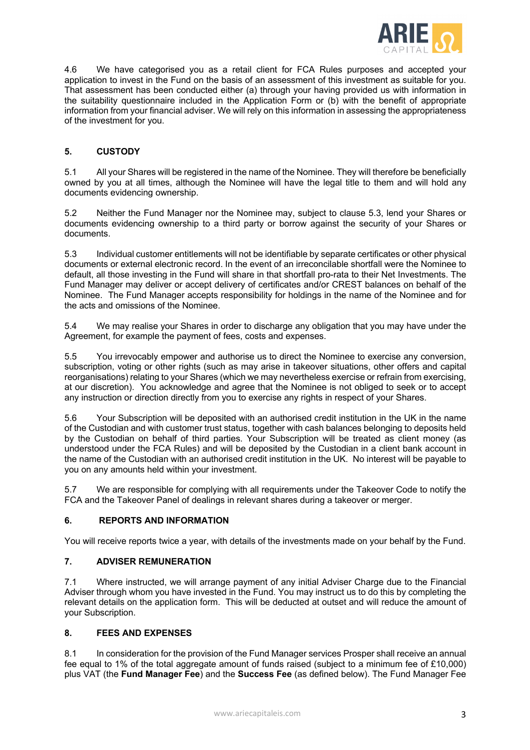

4.6 We have categorised you as a retail client for FCA Rules purposes and accepted your application to invest in the Fund on the basis of an assessment of this investment as suitable for you. That assessment has been conducted either (a) through your having provided us with information in the suitability questionnaire included in the Application Form or (b) with the benefit of appropriate information from your financial adviser. We will rely on this information in assessing the appropriateness of the investment for you.

# **5. CUSTODY**

5.1 All your Shares will be registered in the name of the Nominee. They will therefore be beneficially owned by you at all times, although the Nominee will have the legal title to them and will hold any documents evidencing ownership.

5.2 Neither the Fund Manager nor the Nominee may, subject to clause 5.3, lend your Shares or documents evidencing ownership to a third party or borrow against the security of your Shares or documents.

5.3 Individual customer entitlements will not be identifiable by separate certificates or other physical documents or external electronic record. In the event of an irreconcilable shortfall were the Nominee to default, all those investing in the Fund will share in that shortfall pro-rata to their Net Investments. The Fund Manager may deliver or accept delivery of certificates and/or CREST balances on behalf of the Nominee. The Fund Manager accepts responsibility for holdings in the name of the Nominee and for the acts and omissions of the Nominee.

5.4 We may realise your Shares in order to discharge any obligation that you may have under the Agreement, for example the payment of fees, costs and expenses.

5.5 You irrevocably empower and authorise us to direct the Nominee to exercise any conversion, subscription, voting or other rights (such as may arise in takeover situations, other offers and capital reorganisations) relating to your Shares (which we may nevertheless exercise or refrain from exercising, at our discretion). You acknowledge and agree that the Nominee is not obliged to seek or to accept any instruction or direction directly from you to exercise any rights in respect of your Shares.

5.6 Your Subscription will be deposited with an authorised credit institution in the UK in the name of the Custodian and with customer trust status, together with cash balances belonging to deposits held by the Custodian on behalf of third parties. Your Subscription will be treated as client money (as understood under the FCA Rules) and will be deposited by the Custodian in a client bank account in the name of the Custodian with an authorised credit institution in the UK. No interest will be payable to you on any amounts held within your investment.

5.7 We are responsible for complying with all requirements under the Takeover Code to notify the FCA and the Takeover Panel of dealings in relevant shares during a takeover or merger.

## **6. REPORTS AND INFORMATION**

You will receive reports twice a year, with details of the investments made on your behalf by the Fund.

# **7. ADVISER REMUNERATION**

7.1 Where instructed, we will arrange payment of any initial Adviser Charge due to the Financial Adviser through whom you have invested in the Fund. You may instruct us to do this by completing the relevant details on the application form. This will be deducted at outset and will reduce the amount of your Subscription.

#### **8. FEES AND EXPENSES**

8.1 In consideration for the provision of the Fund Manager services Prosper shall receive an annual fee equal to 1% of the total aggregate amount of funds raised (subject to a minimum fee of £10,000) plus VAT (the **Fund Manager Fee**) and the **Success Fee** (as defined below). The Fund Manager Fee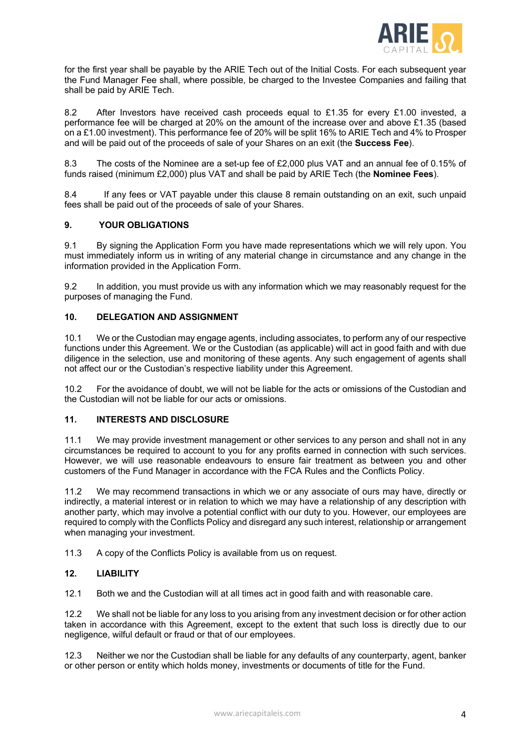

for the first year shall be payable by the ARIE Tech out of the Initial Costs. For each subsequent year the Fund Manager Fee shall, where possible, be charged to the Investee Companies and failing that shall be paid by ARIE Tech.

8.2 After Investors have received cash proceeds equal to £1.35 for every £1.00 invested, a performance fee will be charged at 20% on the amount of the increase over and above £1.35 (based on a £1.00 investment). This performance fee of 20% will be split 16% to ARIE Tech and 4% to Prosper and will be paid out of the proceeds of sale of your Shares on an exit (the **Success Fee**).

8.3 The costs of the Nominee are a set-up fee of £2,000 plus VAT and an annual fee of 0.15% of funds raised (minimum £2,000) plus VAT and shall be paid by ARIE Tech (the **Nominee Fees**).

8.4 If any fees or VAT payable under this clause 8 remain outstanding on an exit, such unpaid fees shall be paid out of the proceeds of sale of your Shares.

# **9. YOUR OBLIGATIONS**

9.1 By signing the Application Form you have made representations which we will rely upon. You must immediately inform us in writing of any material change in circumstance and any change in the information provided in the Application Form.

9.2 In addition, you must provide us with any information which we may reasonably request for the purposes of managing the Fund.

## **10. DELEGATION AND ASSIGNMENT**

10.1 We or the Custodian may engage agents, including associates, to perform any of our respective functions under this Agreement. We or the Custodian (as applicable) will act in good faith and with due diligence in the selection, use and monitoring of these agents. Any such engagement of agents shall not affect our or the Custodian's respective liability under this Agreement.

10.2 For the avoidance of doubt, we will not be liable for the acts or omissions of the Custodian and the Custodian will not be liable for our acts or omissions.

## **11. INTERESTS AND DISCLOSURE**

11.1 We may provide investment management or other services to any person and shall not in any circumstances be required to account to you for any profits earned in connection with such services. However, we will use reasonable endeavours to ensure fair treatment as between you and other customers of the Fund Manager in accordance with the FCA Rules and the Conflicts Policy.

11.2 We may recommend transactions in which we or any associate of ours may have, directly or indirectly, a material interest or in relation to which we may have a relationship of any description with another party, which may involve a potential conflict with our duty to you. However, our employees are required to comply with the Conflicts Policy and disregard any such interest, relationship or arrangement when managing your investment.

11.3 A copy of the Conflicts Policy is available from us on request.

## **12. LIABILITY**

12.1 Both we and the Custodian will at all times act in good faith and with reasonable care.

12.2 We shall not be liable for any loss to you arising from any investment decision or for other action taken in accordance with this Agreement, except to the extent that such loss is directly due to our negligence, wilful default or fraud or that of our employees.

12.3 Neither we nor the Custodian shall be liable for any defaults of any counterparty, agent, banker or other person or entity which holds money, investments or documents of title for the Fund.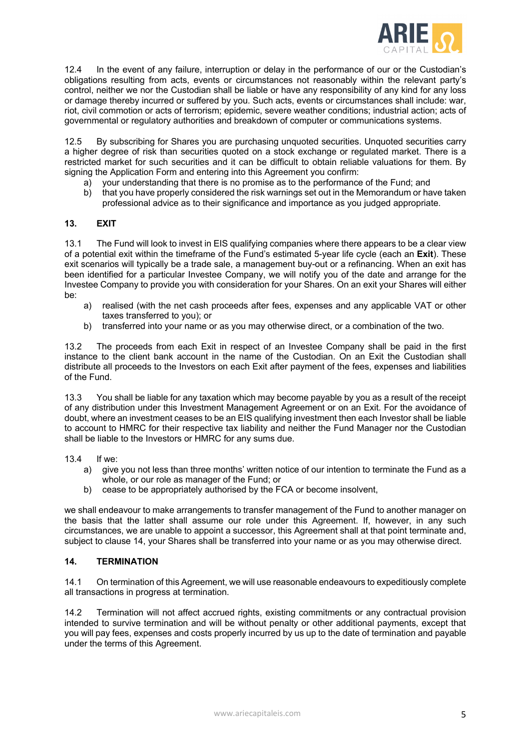

12.4 In the event of any failure, interruption or delay in the performance of our or the Custodian's obligations resulting from acts, events or circumstances not reasonably within the relevant party's control, neither we nor the Custodian shall be liable or have any responsibility of any kind for any loss or damage thereby incurred or suffered by you. Such acts, events or circumstances shall include: war, riot, civil commotion or acts of terrorism; epidemic, severe weather conditions; industrial action; acts of governmental or regulatory authorities and breakdown of computer or communications systems.

12.5 By subscribing for Shares you are purchasing unquoted securities. Unquoted securities carry a higher degree of risk than securities quoted on a stock exchange or regulated market. There is a restricted market for such securities and it can be difficult to obtain reliable valuations for them. By signing the Application Form and entering into this Agreement you confirm:

- a) your understanding that there is no promise as to the performance of the Fund; and
- b) that you have properly considered the risk warnings set out in the Memorandum or have taken professional advice as to their significance and importance as you judged appropriate.

## **13. EXIT**

13.1 The Fund will look to invest in EIS qualifying companies where there appears to be a clear view of a potential exit within the timeframe of the Fund's estimated 5-year life cycle (each an **Exit**). These exit scenarios will typically be a trade sale, a management buy-out or a refinancing. When an exit has been identified for a particular Investee Company, we will notify you of the date and arrange for the Investee Company to provide you with consideration for your Shares. On an exit your Shares will either be:

- a) realised (with the net cash proceeds after fees, expenses and any applicable VAT or other taxes transferred to you); or
- b) transferred into your name or as you may otherwise direct, or a combination of the two.

13.2 The proceeds from each Exit in respect of an Investee Company shall be paid in the first instance to the client bank account in the name of the Custodian. On an Exit the Custodian shall distribute all proceeds to the Investors on each Exit after payment of the fees, expenses and liabilities of the Fund.

13.3 You shall be liable for any taxation which may become payable by you as a result of the receipt of any distribution under this Investment Management Agreement or on an Exit. For the avoidance of doubt, where an investment ceases to be an EIS qualifying investment then each Investor shall be liable to account to HMRC for their respective tax liability and neither the Fund Manager nor the Custodian shall be liable to the Investors or HMRC for any sums due.

13.4 If we:

- a) give you not less than three months' written notice of our intention to terminate the Fund as a whole, or our role as manager of the Fund; or
- b) cease to be appropriately authorised by the FCA or become insolvent,

we shall endeavour to make arrangements to transfer management of the Fund to another manager on the basis that the latter shall assume our role under this Agreement. If, however, in any such circumstances, we are unable to appoint a successor, this Agreement shall at that point terminate and, subject to clause 14, your Shares shall be transferred into your name or as you may otherwise direct.

#### **14. TERMINATION**

14.1 On termination of this Agreement, we will use reasonable endeavours to expeditiously complete all transactions in progress at termination.

14.2 Termination will not affect accrued rights, existing commitments or any contractual provision intended to survive termination and will be without penalty or other additional payments, except that you will pay fees, expenses and costs properly incurred by us up to the date of termination and payable under the terms of this Agreement.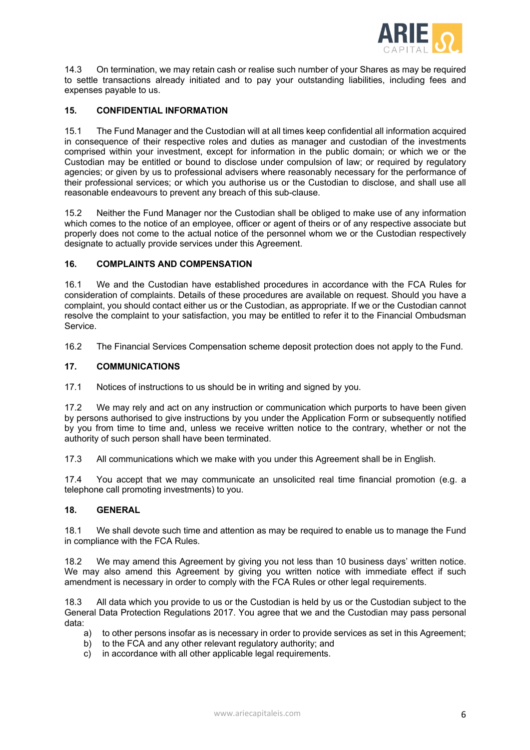

14.3 On termination, we may retain cash or realise such number of your Shares as may be required to settle transactions already initiated and to pay your outstanding liabilities, including fees and expenses payable to us.

## **15. CONFIDENTIAL INFORMATION**

15.1 The Fund Manager and the Custodian will at all times keep confidential all information acquired in consequence of their respective roles and duties as manager and custodian of the investments comprised within your investment, except for information in the public domain; or which we or the Custodian may be entitled or bound to disclose under compulsion of law; or required by regulatory agencies; or given by us to professional advisers where reasonably necessary for the performance of their professional services; or which you authorise us or the Custodian to disclose, and shall use all reasonable endeavours to prevent any breach of this sub-clause.

15.2 Neither the Fund Manager nor the Custodian shall be obliged to make use of any information which comes to the notice of an employee, officer or agent of theirs or of any respective associate but properly does not come to the actual notice of the personnel whom we or the Custodian respectively designate to actually provide services under this Agreement.

## **16. COMPLAINTS AND COMPENSATION**

16.1 We and the Custodian have established procedures in accordance with the FCA Rules for consideration of complaints. Details of these procedures are available on request. Should you have a complaint, you should contact either us or the Custodian, as appropriate. If we or the Custodian cannot resolve the complaint to your satisfaction, you may be entitled to refer it to the Financial Ombudsman Service.

16.2 The Financial Services Compensation scheme deposit protection does not apply to the Fund.

## **17. COMMUNICATIONS**

17.1 Notices of instructions to us should be in writing and signed by you.

17.2 We may rely and act on any instruction or communication which purports to have been given by persons authorised to give instructions by you under the Application Form or subsequently notified by you from time to time and, unless we receive written notice to the contrary, whether or not the authority of such person shall have been terminated.

17.3 All communications which we make with you under this Agreement shall be in English.

17.4 You accept that we may communicate an unsolicited real time financial promotion (e.g. a telephone call promoting investments) to you.

## **18. GENERAL**

18.1 We shall devote such time and attention as may be required to enable us to manage the Fund in compliance with the FCA Rules.

18.2 We may amend this Agreement by giving you not less than 10 business days' written notice. We may also amend this Agreement by giving you written notice with immediate effect if such amendment is necessary in order to comply with the FCA Rules or other legal requirements.

18.3 All data which you provide to us or the Custodian is held by us or the Custodian subject to the General Data Protection Regulations 2017. You agree that we and the Custodian may pass personal data:

- a) to other persons insofar as is necessary in order to provide services as set in this Agreement;
- b) to the FCA and any other relevant regulatory authority; and
- c) in accordance with all other applicable legal requirements.